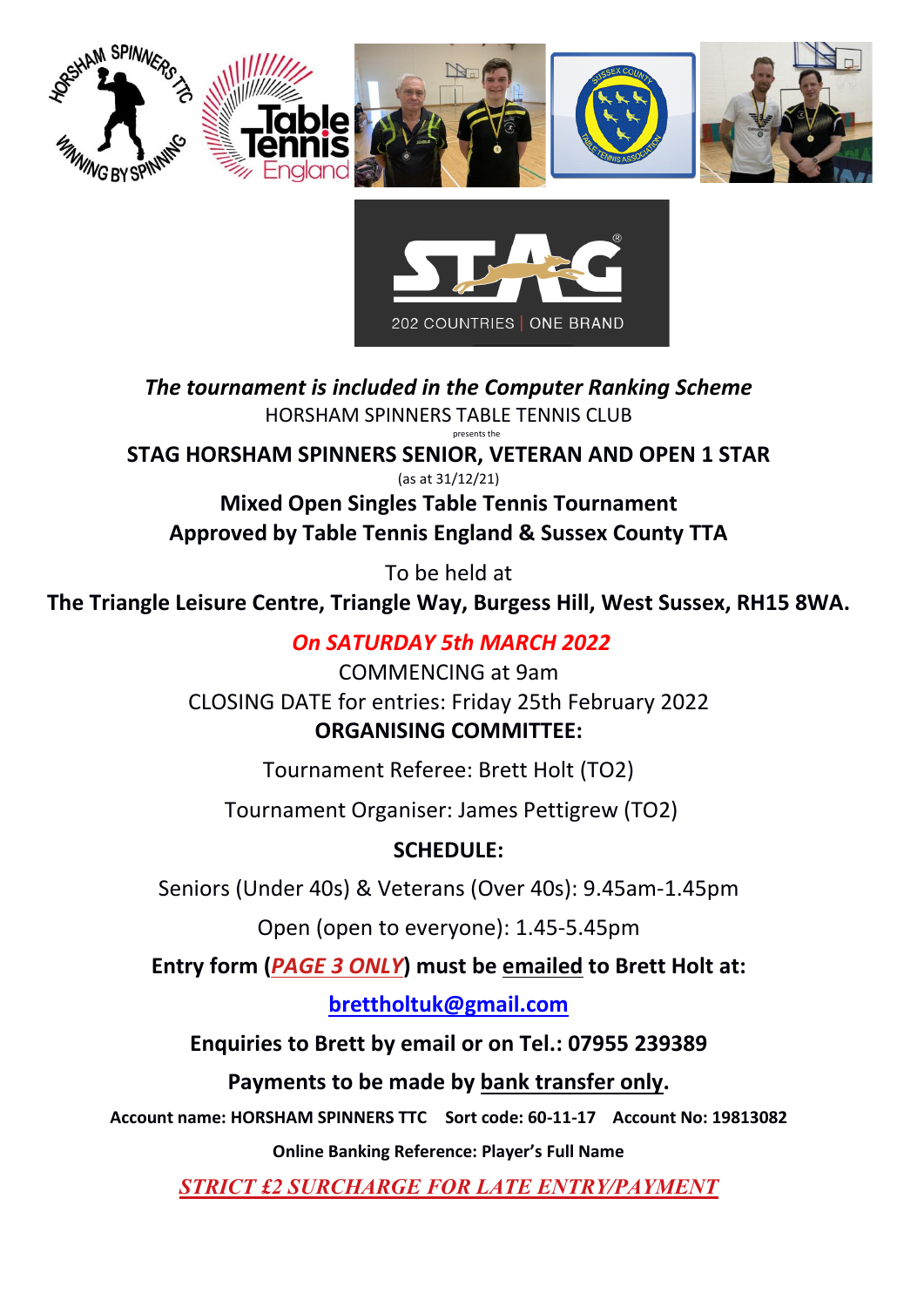



*The tournament is included in the Computer Ranking Scheme* HORSHAM SPINNERS TABLE TENNIS CLUB presents the

**STAG HORSHAM SPINNERS SENIOR, VETERAN AND OPEN 1 STAR**

(as at 31/12/21)

**Mixed Open Singles Table Tennis Tournament Approved by Table Tennis England & Sussex County TTA**

To be held at

**The Triangle Leisure Centre, Triangle Way, Burgess Hill, West Sussex, RH15 8WA.**

## *On SATURDAY 5th MARCH 2022*

COMMENCING at 9am CLOSING DATE for entries: Friday 25th February 2022 **ORGANISING COMMITTEE:** 

Tournament Referee: Brett Holt (TO2)

Tournament Organiser: James Pettigrew (TO2)

# **SCHEDULE:**

Seniors (Under 40s) & Veterans (Over 40s): 9.45am-1.45pm

Open (open to everyone): 1.45-5.45pm

**Entry form (***PAGE 3 ONLY***) must be emailed to Brett Holt at:**

**[brettholtuk@gmail.com](mailto:brettholtuk@gmail.com)**

**Enquiries to Brett by email or on Tel.: 07955 239389**

**Payments to be made by bank transfer only.**

**Account name: HORSHAM SPINNERS TTC Sort code: 60-11-17 Account No: 19813082**

**Online Banking Reference: Player's Full Name**

*STRICT £2 SURCHARGE FOR LATE ENTRY/PAYMENT*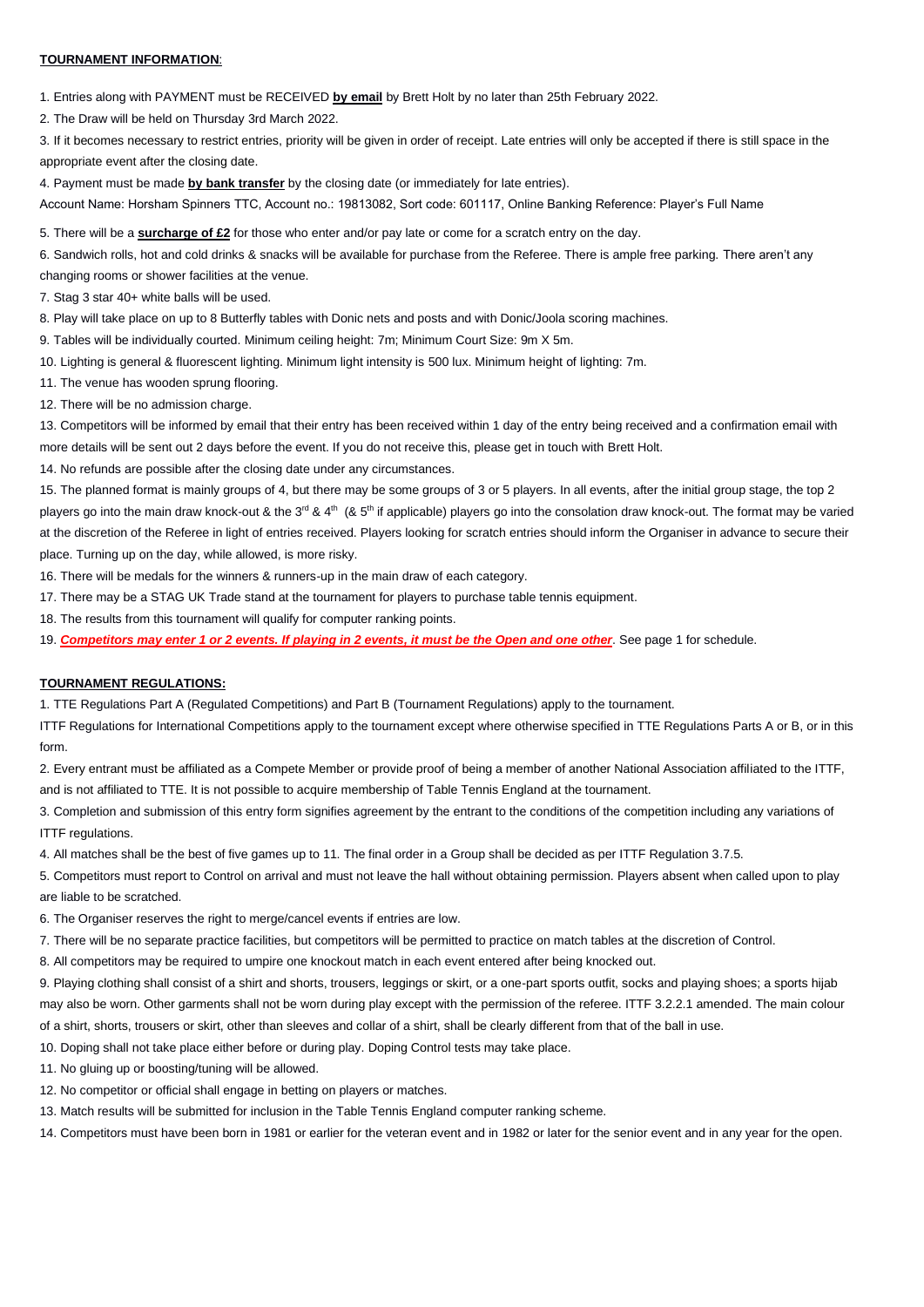### **TOURNAMENT INFORMATION**:

1. Entries along with PAYMENT must be RECEIVED **by email** by Brett Holt by no later than 25th February 2022.

2. The Draw will be held on Thursday 3rd March 2022.

3. If it becomes necessary to restrict entries, priority will be given in order of receipt. Late entries will only be accepted if there is still space in the appropriate event after the closing date.

4. Payment must be made **by bank transfer** by the closing date (or immediately for late entries).

Account Name: Horsham Spinners TTC, Account no.: 19813082, Sort code: 601117, Online Banking Reference: Player's Full Name

5. There will be a **surcharge of £2** for those who enter and/or pay late or come for a scratch entry on the day.

6. Sandwich rolls, hot and cold drinks & snacks will be available for purchase from the Referee. There is ample free parking. There aren't any

changing rooms or shower facilities at the venue.

7. Stag 3 star 40+ white balls will be used.

8. Play will take place on up to 8 Butterfly tables with Donic nets and posts and with Donic/Joola scoring machines.

9. Tables will be individually courted. Minimum ceiling height: 7m; Minimum Court Size: 9m X 5m.

10. Lighting is general & fluorescent lighting. Minimum light intensity is 500 lux. Minimum height of lighting: 7m.

11. The venue has wooden sprung flooring.

12. There will be no admission charge.

13. Competitors will be informed by email that their entry has been received within 1 day of the entry being received and a confirmation email with more details will be sent out 2 days before the event. If you do not receive this, please get in touch with Brett Holt.

14. No refunds are possible after the closing date under any circumstances.

15. The planned format is mainly groups of 4, but there may be some groups of 3 or 5 players. In all events, after the initial group stage, the top 2 players go into the main draw knock-out & the 3<sup>rd</sup> & 4<sup>th</sup> (& 5<sup>th</sup> if applicable) players go into the consolation draw knock-out. The format may be varied at the discretion of the Referee in light of entries received. Players looking for scratch entries should inform the Organiser in advance to secure their place. Turning up on the day, while allowed, is more risky.

16. There will be medals for the winners & runners-up in the main draw of each category.

17. There may be a STAG UK Trade stand at the tournament for players to purchase table tennis equipment.

18. The results from this tournament will qualify for computer ranking points.

19. *Competitors may enter 1 or 2 events. If playing in 2 events, it must be the Open and one other*. See page 1 for schedule.

## **TOURNAMENT REGULATIONS:**

1. TTE Regulations Part A (Regulated Competitions) and Part B (Tournament Regulations) apply to the tournament.

ITTF Regulations for International Competitions apply to the tournament except where otherwise specified in TTE Regulations Parts A or B, or in this form.

2. Every entrant must be affiliated as a Compete Member or provide proof of being a member of another National Association affiliated to the ITTF, and is not affiliated to TTE. It is not possible to acquire membership of Table Tennis England at the tournament.

3. Completion and submission of this entry form signifies agreement by the entrant to the conditions of the competition including any variations of ITTF regulations.

4. All matches shall be the best of five games up to 11. The final order in a Group shall be decided as per ITTF Regulation 3.7.5.

5. Competitors must report to Control on arrival and must not leave the hall without obtaining permission. Players absent when called upon to play are liable to be scratched.

6. The Organiser reserves the right to merge/cancel events if entries are low.

7. There will be no separate practice facilities, but competitors will be permitted to practice on match tables at the discretion of Control.

8. All competitors may be required to umpire one knockout match in each event entered after being knocked out.

9. Playing clothing shall consist of a shirt and shorts, trousers, leggings or skirt, or a one-part sports outfit, socks and playing shoes; a sports hijab may also be worn. Other garments shall not be worn during play except with the permission of the referee. ITTF 3.2.2.1 amended. The main colour of a shirt, shorts, trousers or skirt, other than sleeves and collar of a shirt, shall be clearly different from that of the ball in use.

10. Doping shall not take place either before or during play. Doping Control tests may take place.

11. No gluing up or boosting/tuning will be allowed.

12. No competitor or official shall engage in betting on players or matches.

13. Match results will be submitted for inclusion in the Table Tennis England computer ranking scheme.

14. Competitors must have been born in 1981 or earlier for the veteran event and in 1982 or later for the senior event and in any year for the open.